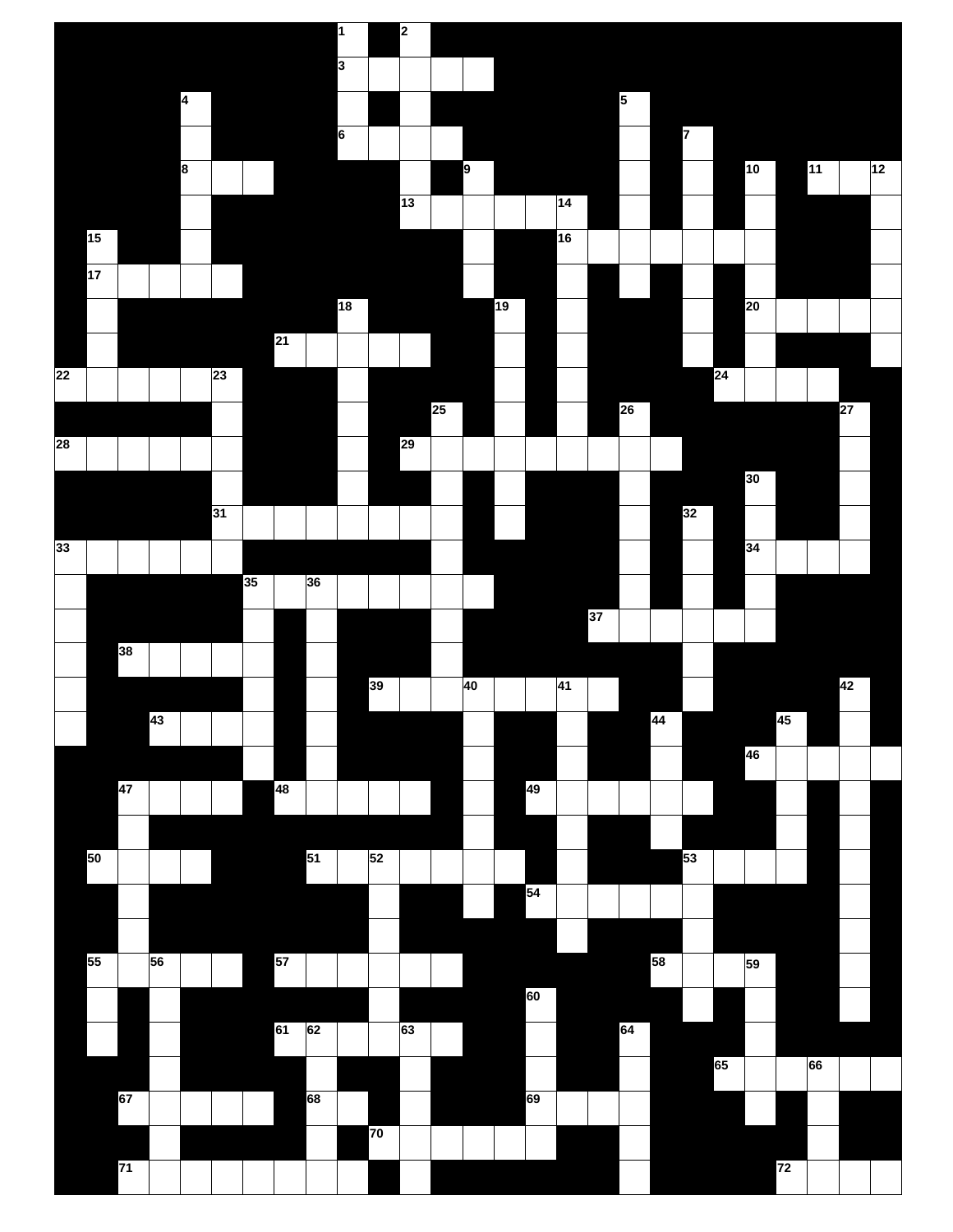